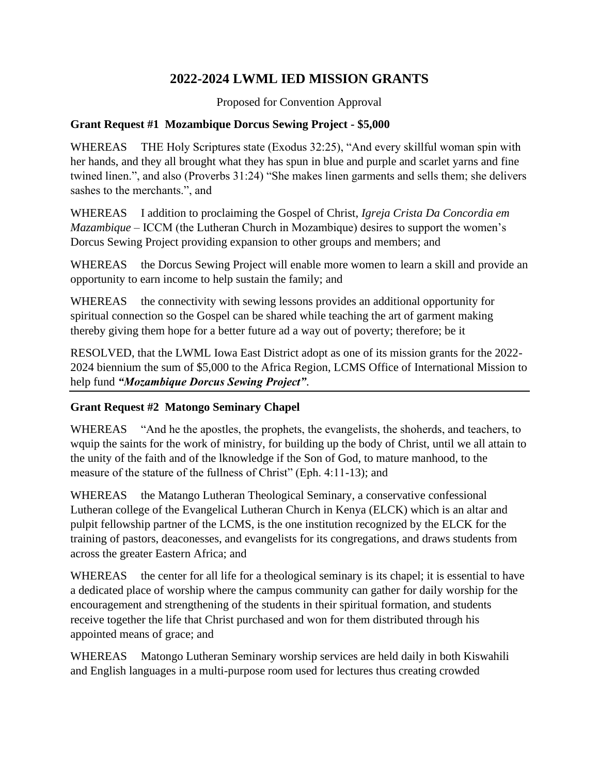# **2022-2024 LWML IED MISSION GRANTS**

Proposed for Convention Approval

### **Grant Request #1 Mozambique Dorcus Sewing Project - \$5,000**

WHEREAS THE Holy Scriptures state (Exodus 32:25), "And every skillful woman spin with her hands, and they all brought what they has spun in blue and purple and scarlet yarns and fine twined linen.", and also (Proverbs 31:24) "She makes linen garments and sells them; she delivers sashes to the merchants.", and

WHEREAS I addition to proclaiming the Gospel of Christ, *Igreja Crista Da Concordia em Mazambique* – ICCM (the Lutheran Church in Mozambique) desires to support the women's Dorcus Sewing Project providing expansion to other groups and members; and

WHEREAS the Dorcus Sewing Project will enable more women to learn a skill and provide an opportunity to earn income to help sustain the family; and

WHEREAS the connectivity with sewing lessons provides an additional opportunity for spiritual connection so the Gospel can be shared while teaching the art of garment making thereby giving them hope for a better future ad a way out of poverty; therefore; be it

RESOLVED, that the LWML Iowa East District adopt as one of its mission grants for the 2022- 2024 biennium the sum of \$5,000 to the Africa Region, LCMS Office of International Mission to help fund *"Mozambique Dorcus Sewing Project"*.

# **Grant Request #2 Matongo Seminary Chapel**

WHEREAS "And he the apostles, the prophets, the evangelists, the shoherds, and teachers, to wquip the saints for the work of ministry, for building up the body of Christ, until we all attain to the unity of the faith and of the lknowledge if the Son of God, to mature manhood, to the measure of the stature of the fullness of Christ" (Eph. 4:11-13); and

WHEREAS the Matango Lutheran Theological Seminary, a conservative confessional Lutheran college of the Evangelical Lutheran Church in Kenya (ELCK) which is an altar and pulpit fellowship partner of the LCMS, is the one institution recognized by the ELCK for the training of pastors, deaconesses, and evangelists for its congregations, and draws students from across the greater Eastern Africa; and

WHEREAS the center for all life for a theological seminary is its chapel; it is essential to have a dedicated place of worship where the campus community can gather for daily worship for the encouragement and strengthening of the students in their spiritual formation, and students receive together the life that Christ purchased and won for them distributed through his appointed means of grace; and

WHEREAS Matongo Lutheran Seminary worship services are held daily in both Kiswahili and English languages in a multi-purpose room used for lectures thus creating crowded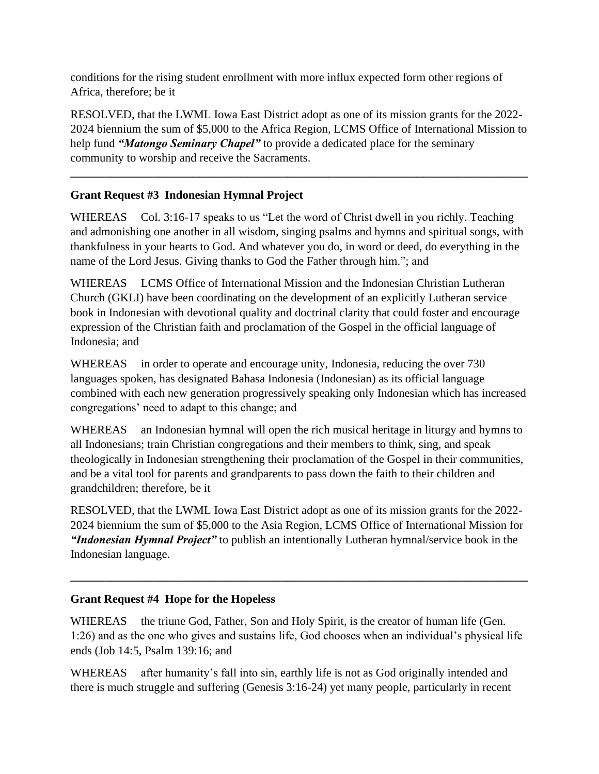conditions for the rising student enrollment with more influx expected form other regions of Africa, therefore; be it

RESOLVED, that the LWML Iowa East District adopt as one of its mission grants for the 2022- 2024 biennium the sum of \$5,000 to the Africa Region, LCMS Office of International Mission to help fund *"Matongo Seminary Chapel"* to provide a dedicated place for the seminary community to worship and receive the Sacraments.

**\_\_\_\_\_\_\_\_\_\_\_\_\_\_\_\_\_\_\_\_\_\_\_\_\_\_\_\_\_\_\_\_\_\_\_\_\_\_\_\_\_\_\_\_\_\_\_\_\_\_\_\_\_\_\_\_\_\_\_\_\_\_\_\_\_\_\_\_\_\_\_\_\_\_\_\_\_\_**

# **Grant Request #3 Indonesian Hymnal Project**

WHEREAS Col. 3:16-17 speaks to us "Let the word of Christ dwell in you richly. Teaching and admonishing one another in all wisdom, singing psalms and hymns and spiritual songs, with thankfulness in your hearts to God. And whatever you do, in word or deed, do everything in the name of the Lord Jesus. Giving thanks to God the Father through him."; and

WHEREAS LCMS Office of International Mission and the Indonesian Christian Lutheran Church (GKLI) have been coordinating on the development of an explicitly Lutheran service book in Indonesian with devotional quality and doctrinal clarity that could foster and encourage expression of the Christian faith and proclamation of the Gospel in the official language of Indonesia; and

WHEREAS in order to operate and encourage unity, Indonesia, reducing the over 730 languages spoken, has designated Bahasa Indonesia (Indonesian) as its official language combined with each new generation progressively speaking only Indonesian which has increased congregations' need to adapt to this change; and

WHEREAS an Indonesian hymnal will open the rich musical heritage in liturgy and hymns to all Indonesians; train Christian congregations and their members to think, sing, and speak theologically in Indonesian strengthening their proclamation of the Gospel in their communities, and be a vital tool for parents and grandparents to pass down the faith to their children and grandchildren; therefore, be it

RESOLVED, that the LWML Iowa East District adopt as one of its mission grants for the 2022- 2024 biennium the sum of \$5,000 to the Asia Region, LCMS Office of International Mission for *"Indonesian Hymnal Project"* to publish an intentionally Lutheran hymnal/service book in the Indonesian language.

**\_\_\_\_\_\_\_\_\_\_\_\_\_\_\_\_\_\_\_\_\_\_\_\_\_\_\_\_\_\_\_\_\_\_\_\_\_\_\_\_\_\_\_\_\_\_\_\_\_\_\_\_\_\_\_\_\_\_\_\_\_\_\_\_\_\_\_\_\_\_\_\_\_\_\_\_\_\_**

# **Grant Request #4 Hope for the Hopeless**

WHEREAS the triune God, Father, Son and Holy Spirit, is the creator of human life (Gen. 1:26) and as the one who gives and sustains life, God chooses when an individual's physical life ends (Job 14:5, Psalm 139:16; and

WHEREAS after humanity's fall into sin, earthly life is not as God originally intended and there is much struggle and suffering (Genesis 3:16-24) yet many people, particularly in recent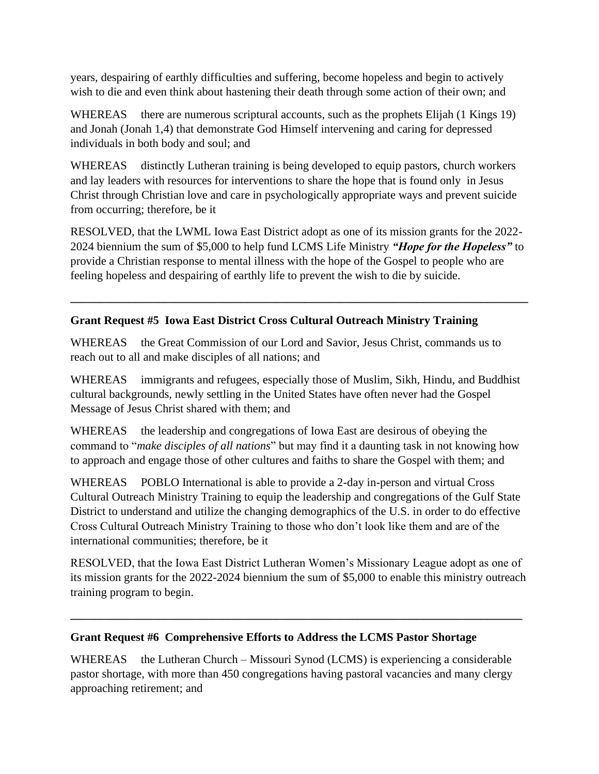years, despairing of earthly difficulties and suffering, become hopeless and begin to actively wish to die and even think about hastening their death through some action of their own; and

WHEREAS there are numerous scriptural accounts, such as the prophets Elijah (1 Kings 19) and Jonah (Jonah 1,4) that demonstrate God Himself intervening and caring for depressed individuals in both body and soul; and

WHEREAS distinctly Lutheran training is being developed to equip pastors, church workers and lay leaders with resources for interventions to share the hope that is found only in Jesus Christ through Christian love and care in psychologically appropriate ways and prevent suicide from occurring; therefore, be it

RESOLVED, that the LWML Iowa East District adopt as one of its mission grants for the 2022- 2024 biennium the sum of \$5,000 to help fund LCMS Life Ministry *"Hope for the Hopeless"* to provide a Christian response to mental illness with the hope of the Gospel to people who are feeling hopeless and despairing of earthly life to prevent the wish to die by suicide.

**\_\_\_\_\_\_\_\_\_\_\_\_\_\_\_\_\_\_\_\_\_\_\_\_\_\_\_\_\_\_\_\_\_\_\_\_\_\_\_\_\_\_\_\_\_\_\_\_\_\_\_\_\_\_\_\_\_\_\_\_\_\_\_\_\_\_\_\_\_\_\_\_\_\_\_\_\_\_**

# **Grant Request #5 Iowa East District Cross Cultural Outreach Ministry Training**

WHEREAS the Great Commission of our Lord and Savior, Jesus Christ, commands us to reach out to all and make disciples of all nations; and

WHEREAS immigrants and refugees, especially those of Muslim, Sikh, Hindu, and Buddhist cultural backgrounds, newly settling in the United States have often never had the Gospel Message of Jesus Christ shared with them; and

WHEREAS the leadership and congregations of Iowa East are desirous of obeying the command to "*make disciples of all nations*" but may find it a daunting task in not knowing how to approach and engage those of other cultures and faiths to share the Gospel with them; and

WHEREAS POBLO International is able to provide a 2-day in-person and virtual Cross Cultural Outreach Ministry Training to equip the leadership and congregations of the Gulf State District to understand and utilize the changing demographics of the U.S. in order to do effective Cross Cultural Outreach Ministry Training to those who don't look like them and are of the international communities; therefore, be it

RESOLVED, that the Iowa East District Lutheran Women's Missionary League adopt as one of its mission grants for the 2022-2024 biennium the sum of \$5,000 to enable this ministry outreach training program to begin.

**\_\_\_\_\_\_\_\_\_\_\_\_\_\_\_\_\_\_\_\_\_\_\_\_\_\_\_\_\_\_\_\_\_\_\_\_\_\_\_\_\_\_\_\_\_\_\_\_\_\_\_\_\_\_\_\_\_\_\_\_\_\_\_\_\_\_\_\_\_\_\_\_\_\_\_\_\_**

#### **Grant Request #6 Comprehensive Efforts to Address the LCMS Pastor Shortage**

WHEREAS the Lutheran Church – Missouri Synod (LCMS) is experiencing a considerable pastor shortage, with more than 450 congregations having pastoral vacancies and many clergy approaching retirement; and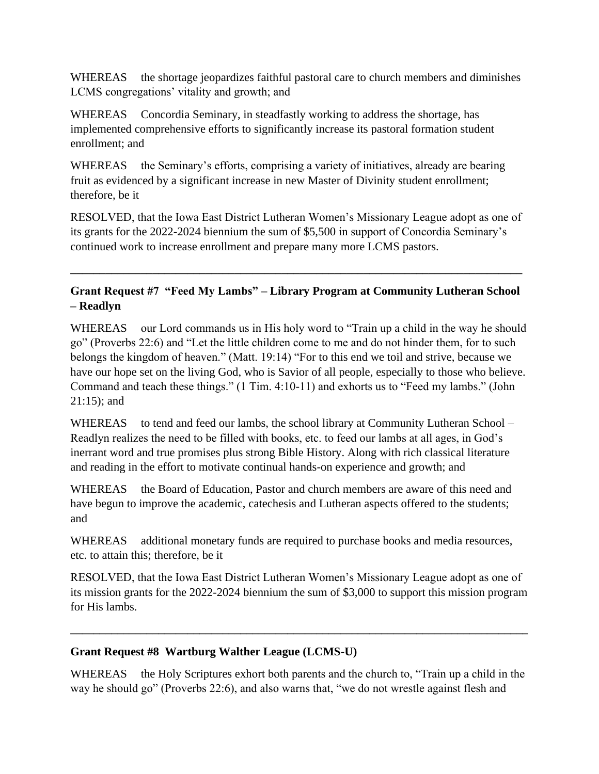WHEREAS the shortage jeopardizes faithful pastoral care to church members and diminishes LCMS congregations' vitality and growth; and

WHEREAS Concordia Seminary, in steadfastly working to address the shortage, has implemented comprehensive efforts to significantly increase its pastoral formation student enrollment; and

WHEREAS the Seminary's efforts, comprising a variety of initiatives, already are bearing fruit as evidenced by a significant increase in new Master of Divinity student enrollment; therefore, be it

RESOLVED, that the Iowa East District Lutheran Women's Missionary League adopt as one of its grants for the 2022-2024 biennium the sum of \$5,500 in support of Concordia Seminary's continued work to increase enrollment and prepare many more LCMS pastors.

# **Grant Request #7 "Feed My Lambs" – Library Program at Community Lutheran School – Readlyn**

**\_\_\_\_\_\_\_\_\_\_\_\_\_\_\_\_\_\_\_\_\_\_\_\_\_\_\_\_\_\_\_\_\_\_\_\_\_\_\_\_\_\_\_\_\_\_\_\_\_\_\_\_\_\_\_\_\_\_\_\_\_\_\_\_\_\_\_\_\_\_\_\_\_\_\_\_\_**

WHEREAS our Lord commands us in His holy word to "Train up a child in the way he should go" (Proverbs 22:6) and "Let the little children come to me and do not hinder them, for to such belongs the kingdom of heaven." (Matt. 19:14) "For to this end we toil and strive, because we have our hope set on the living God, who is Savior of all people, especially to those who believe. Command and teach these things." (1 Tim. 4:10-11) and exhorts us to "Feed my lambs." (John 21:15); and

WHEREAS to tend and feed our lambs, the school library at Community Lutheran School – Readlyn realizes the need to be filled with books, etc. to feed our lambs at all ages, in God's inerrant word and true promises plus strong Bible History. Along with rich classical literature and reading in the effort to motivate continual hands-on experience and growth; and

WHEREAS the Board of Education, Pastor and church members are aware of this need and have begun to improve the academic, catechesis and Lutheran aspects offered to the students; and

WHEREAS additional monetary funds are required to purchase books and media resources, etc. to attain this; therefore, be it

RESOLVED, that the Iowa East District Lutheran Women's Missionary League adopt as one of its mission grants for the 2022-2024 biennium the sum of \$3,000 to support this mission program for His lambs.

**\_\_\_\_\_\_\_\_\_\_\_\_\_\_\_\_\_\_\_\_\_\_\_\_\_\_\_\_\_\_\_\_\_\_\_\_\_\_\_\_\_\_\_\_\_\_\_\_\_\_\_\_\_\_\_\_\_\_\_\_\_\_\_\_\_\_\_\_\_\_\_\_\_\_\_\_\_\_**

# **Grant Request #8 Wartburg Walther League (LCMS-U)**

WHEREAS the Holy Scriptures exhort both parents and the church to, "Train up a child in the way he should go" (Proverbs 22:6), and also warns that, "we do not wrestle against flesh and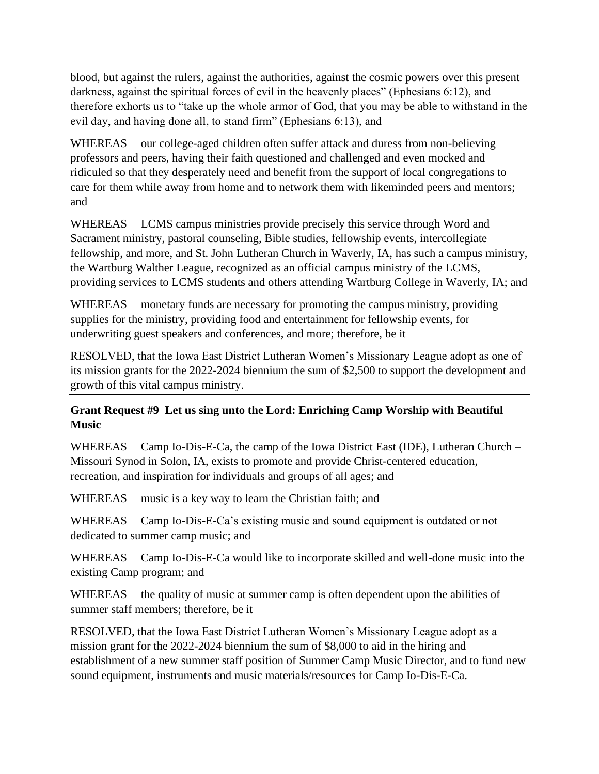blood, but against the rulers, against the authorities, against the cosmic powers over this present darkness, against the spiritual forces of evil in the heavenly places" (Ephesians 6:12), and therefore exhorts us to "take up the whole armor of God, that you may be able to withstand in the evil day, and having done all, to stand firm" (Ephesians 6:13), and

WHEREAS our college-aged children often suffer attack and duress from non-believing professors and peers, having their faith questioned and challenged and even mocked and ridiculed so that they desperately need and benefit from the support of local congregations to care for them while away from home and to network them with likeminded peers and mentors; and

WHEREAS LCMS campus ministries provide precisely this service through Word and Sacrament ministry, pastoral counseling, Bible studies, fellowship events, intercollegiate fellowship, and more, and St. John Lutheran Church in Waverly, IA, has such a campus ministry, the Wartburg Walther League, recognized as an official campus ministry of the LCMS, providing services to LCMS students and others attending Wartburg College in Waverly, IA; and

WHEREAS monetary funds are necessary for promoting the campus ministry, providing supplies for the ministry, providing food and entertainment for fellowship events, for underwriting guest speakers and conferences, and more; therefore, be it

RESOLVED, that the Iowa East District Lutheran Women's Missionary League adopt as one of its mission grants for the 2022-2024 biennium the sum of \$2,500 to support the development and growth of this vital campus ministry.

# **Grant Request #9 Let us sing unto the Lord: Enriching Camp Worship with Beautiful Music**

WHEREAS Camp Io-Dis-E-Ca, the camp of the Iowa District East (IDE), Lutheran Church – Missouri Synod in Solon, IA, exists to promote and provide Christ-centered education, recreation, and inspiration for individuals and groups of all ages; and

WHEREAS music is a key way to learn the Christian faith; and

WHEREAS Camp Io-Dis-E-Ca's existing music and sound equipment is outdated or not dedicated to summer camp music; and

WHEREAS Camp Io-Dis-E-Ca would like to incorporate skilled and well-done music into the existing Camp program; and

WHEREAS the quality of music at summer camp is often dependent upon the abilities of summer staff members; therefore, be it

RESOLVED, that the Iowa East District Lutheran Women's Missionary League adopt as a mission grant for the 2022-2024 biennium the sum of \$8,000 to aid in the hiring and establishment of a new summer staff position of Summer Camp Music Director, and to fund new sound equipment, instruments and music materials/resources for Camp Io-Dis-E-Ca.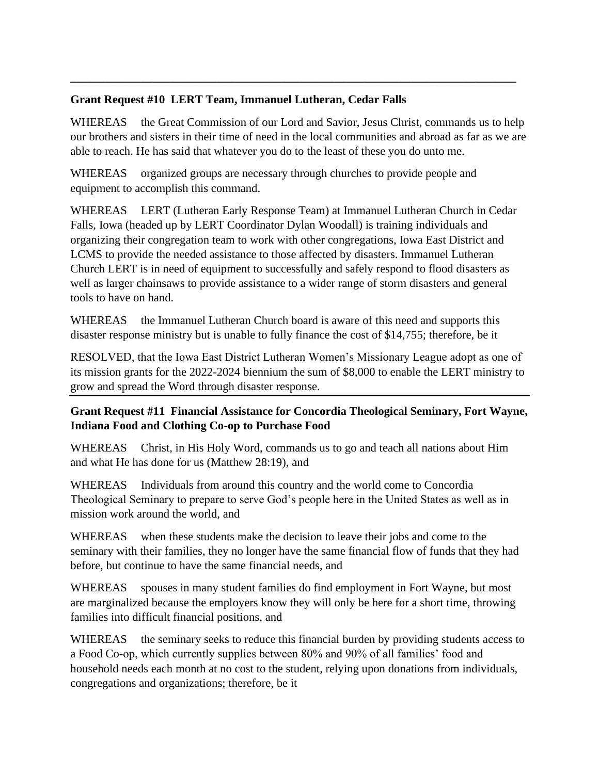# **Grant Request #10 LERT Team, Immanuel Lutheran, Cedar Falls**

WHEREAS the Great Commission of our Lord and Savior, Jesus Christ, commands us to help our brothers and sisters in their time of need in the local communities and abroad as far as we are able to reach. He has said that whatever you do to the least of these you do unto me.

**\_\_\_\_\_\_\_\_\_\_\_\_\_\_\_\_\_\_\_\_\_\_\_\_\_\_\_\_\_\_\_\_\_\_\_\_\_\_\_\_\_\_\_\_\_\_\_\_\_\_\_\_\_\_\_\_\_\_\_\_\_\_\_\_\_\_\_\_\_\_\_\_\_\_\_\_**

WHEREAS organized groups are necessary through churches to provide people and equipment to accomplish this command.

WHEREAS LERT (Lutheran Early Response Team) at Immanuel Lutheran Church in Cedar Falls, Iowa (headed up by LERT Coordinator Dylan Woodall) is training individuals and organizing their congregation team to work with other congregations, Iowa East District and LCMS to provide the needed assistance to those affected by disasters. Immanuel Lutheran Church LERT is in need of equipment to successfully and safely respond to flood disasters as well as larger chainsaws to provide assistance to a wider range of storm disasters and general tools to have on hand.

WHEREAS the Immanuel Lutheran Church board is aware of this need and supports this disaster response ministry but is unable to fully finance the cost of \$14,755; therefore, be it

RESOLVED, that the Iowa East District Lutheran Women's Missionary League adopt as one of its mission grants for the 2022-2024 biennium the sum of \$8,000 to enable the LERT ministry to grow and spread the Word through disaster response.

# **Grant Request #11 Financial Assistance for Concordia Theological Seminary, Fort Wayne, Indiana Food and Clothing Co-op to Purchase Food**

WHEREAS Christ, in His Holy Word, commands us to go and teach all nations about Him and what He has done for us (Matthew 28:19), and

WHEREAS Individuals from around this country and the world come to Concordia Theological Seminary to prepare to serve God's people here in the United States as well as in mission work around the world, and

WHEREAS when these students make the decision to leave their jobs and come to the seminary with their families, they no longer have the same financial flow of funds that they had before, but continue to have the same financial needs, and

WHEREAS spouses in many student families do find employment in Fort Wayne, but most are marginalized because the employers know they will only be here for a short time, throwing families into difficult financial positions, and

WHEREAS the seminary seeks to reduce this financial burden by providing students access to a Food Co-op, which currently supplies between 80% and 90% of all families' food and household needs each month at no cost to the student, relying upon donations from individuals, congregations and organizations; therefore, be it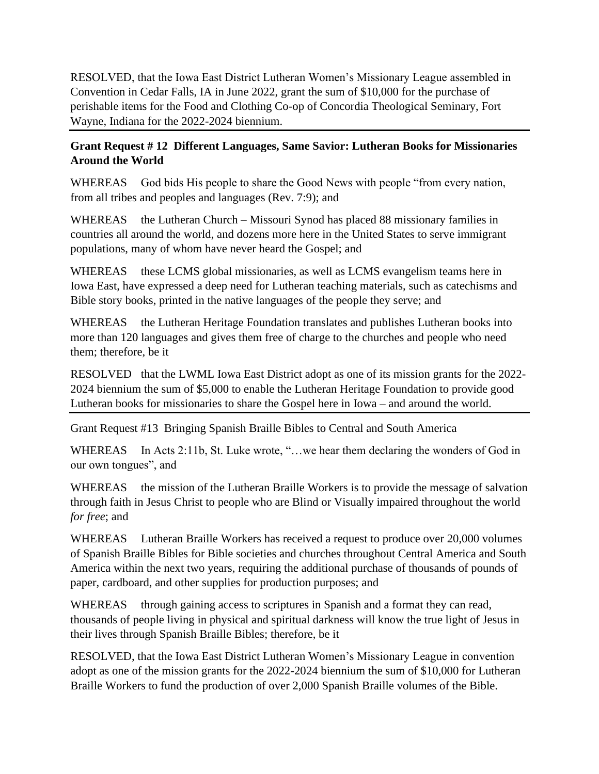RESOLVED, that the Iowa East District Lutheran Women's Missionary League assembled in Convention in Cedar Falls, IA in June 2022, grant the sum of \$10,000 for the purchase of perishable items for the Food and Clothing Co-op of Concordia Theological Seminary, Fort Wayne, Indiana for the 2022-2024 biennium.

### **Grant Request # 12 Different Languages, Same Savior: Lutheran Books for Missionaries Around the World**

WHEREAS God bids His people to share the Good News with people "from every nation, from all tribes and peoples and languages (Rev. 7:9); and

WHEREAS the Lutheran Church – Missouri Synod has placed 88 missionary families in countries all around the world, and dozens more here in the United States to serve immigrant populations, many of whom have never heard the Gospel; and

WHEREAS these LCMS global missionaries, as well as LCMS evangelism teams here in Iowa East, have expressed a deep need for Lutheran teaching materials, such as catechisms and Bible story books, printed in the native languages of the people they serve; and

WHEREAS the Lutheran Heritage Foundation translates and publishes Lutheran books into more than 120 languages and gives them free of charge to the churches and people who need them; therefore, be it

RESOLVED that the LWML Iowa East District adopt as one of its mission grants for the 2022- 2024 biennium the sum of \$5,000 to enable the Lutheran Heritage Foundation to provide good Lutheran books for missionaries to share the Gospel here in Iowa – and around the world.

Grant Request #13 Bringing Spanish Braille Bibles to Central and South America

WHEREAS In Acts 2:11b, St. Luke wrote, "...we hear them declaring the wonders of God in our own tongues", and

WHEREAS the mission of the Lutheran Braille Workers is to provide the message of salvation through faith in Jesus Christ to people who are Blind or Visually impaired throughout the world *for free*; and

WHEREAS Lutheran Braille Workers has received a request to produce over 20,000 volumes of Spanish Braille Bibles for Bible societies and churches throughout Central America and South America within the next two years, requiring the additional purchase of thousands of pounds of paper, cardboard, and other supplies for production purposes; and

WHEREAS through gaining access to scriptures in Spanish and a format they can read, thousands of people living in physical and spiritual darkness will know the true light of Jesus in their lives through Spanish Braille Bibles; therefore, be it

RESOLVED, that the Iowa East District Lutheran Women's Missionary League in convention adopt as one of the mission grants for the 2022-2024 biennium the sum of \$10,000 for Lutheran Braille Workers to fund the production of over 2,000 Spanish Braille volumes of the Bible.